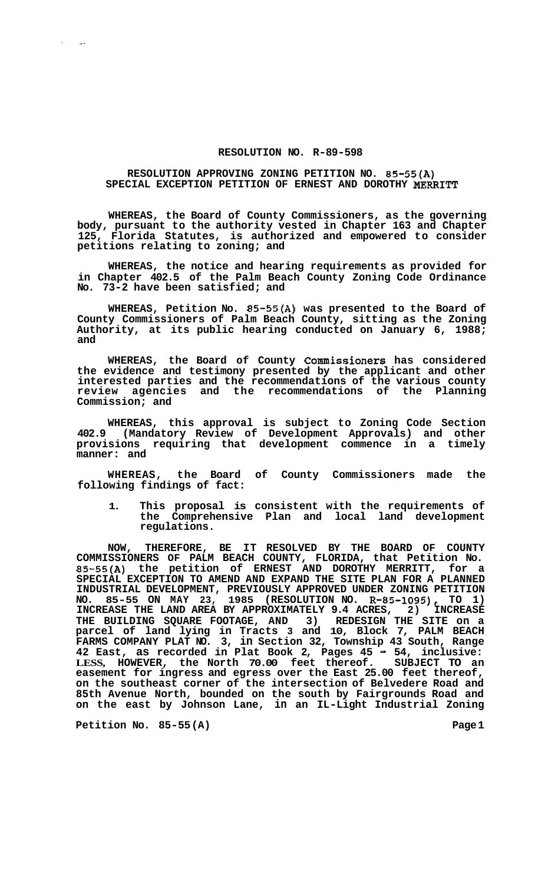## **RESOLUTION NO. R-89-598**

## **RESOLUTION APPROVING ZONING PETITION NO. 85-55(A) SPECIAL EXCEPTION PETITION OF ERNEST AND DOROTHY MERRITT**

**WHEREAS, the Board of County Commissioners, as the governing body, pursuant to the authority vested in Chapter 163 and Chapter 125, Florida Statutes, is authorized and empowered to consider petitions relating to zoning; and** 

**WHEREAS, the notice and hearing requirements as provided for in Chapter 402.5 of the Palm Beach County Zoning Code Ordinance No. 73-2 have been satisfied; and** 

**WHEREAS, Petition No. 85-55(A) was presented to the Board of County Commissioners of Palm Beach County, sitting as the Zoning Authority, at its public hearing conducted on January 6, 1988; and** 

**WHEREAS, the Board of County Commissioners has considered the evidence and testimony presented by the applicant and other interested parties and the recommendations of the various county review agencies and the recommendations of the Planning Commission; and** 

**WHEREAS, this approval is subject to Zoning Code Section 402.9 (Mandatory Review of Development Approvals) and other provisions requiring that development commence in a timely manner: and** 

**WHEREAS, the Board of County Commissioners made the following findings of fact:** 

**1. This proposal is consistent with the requirements of the Comprehensive Plan and local land development regulations.** 

**NOW, THEREFORE, BE IT RESOLVED BY THE BOARD OF COUNTY COMMISSIONERS OF PALM BEACH COUNTY, FLORIDA, that Petition No. 85-55(A) the petition of ERNEST AND DOROTHY MERRITT, for a SPECIAL EXCEPTION TO AMEND AND EXPAND THE SITE PLAN FOR A PLANNED**  INDUSTRIAL DEVELOPMENT, PREVIOUSLY APPROVED UNDER ZONING PETITION<br>NO. 85-55 ON MAY 23, 1985 (RESOLUTION NO. R-85-1095), TO 1) **NO. 85-55 ON MAY 23, 1985 (RESOLUTION NO. R-85-1095), TO 1) INCREASE THE LAND AREA BY APPROXIMATELY 9.4 ACRES, 2) INCREASE THE BUILDING SQUARE FOOTAGE, AND 3) REDESIGN THE SITE on a parcel of land lying in Tracts 3 and 10, Block 7, PALM BEACH FARMS COMPANY PLAT NO. 3, in Section 32, Township 43 South, Range 42 East, as recorded in Plat Book 2, Pages 45** - **54, inclusive: LESS, HOWEVER, the North 70.00 feet thereof. SUBJECT TO an easement for ingress and egress over the East 25.00 feet thereof, on the southeast corner of the intersection of Belvedere Road and 85th Avenue North, bounded on the south by Fairgrounds Road and on the east by Johnson Lane, in an IL-Light Industrial Zoning** 

**Petition No. 85-55 (A)** Page 1

 $\mathcal{N}^{\pm}$  $\sim$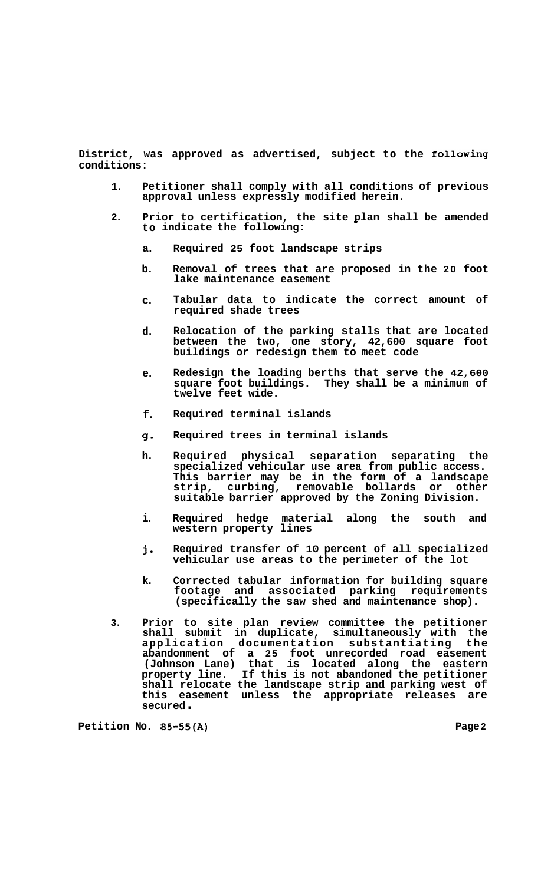**District, was approved as advertised, subject to the folloWing conditions:** 

- **1. Petitioner shall comply with all conditions of previous approval unless expressly modified herein.**
- **2. Prior to certification, the site plan shall be amended indicate the following:**  to indicate the following:
	- **a. Required 25 foot landscape strips**
	- **b. Removal of trees that are proposed in the 20 foot lake maintenance easement**
	- **C. Tabular data to indicate the correct amount of required shade trees**
	- **d. Relocation of the parking stalls that are located between the two, one story, 42,600 square foot buildings or redesign them to meet code**
	- **e. Redesign the loading berths that serve the 42,600 square foot buildings. They shall be a minimum of twelve feet wide.**
	- **f. Required terminal islands**
	- **g**. **Required trees in terminal islands**
	- **h. Required physical separation separating the specialized vehicular use area from public access. This barrier may be in the form of a landscape strip, curbing, removable bollards or other suitable barrier approved by the Zoning Division.**
	- **i. Required hedge material along the south and western property lines**
	- **j. Required transfer of 10 percent of all specialized vehicular use areas to the perimeter of the lot**
	- **k. Corrected tabular information for building square footage and associated parking requirements (specifically the saw shed and maintenance shop).**
- **3. Prior to site plan review committee the petitioner shall submit in duplicate, simultaneously with the application documentation substantiating the abandonment of a 25 foot unrecorded road easement (Johnson Lane) that is located along the eastern property line. If this is not abandoned the petitioner shall relocate the landscape strip and parking west of this easement unless the appropriate releases are secured** .

**Petition No. 85-55(A) Page 2**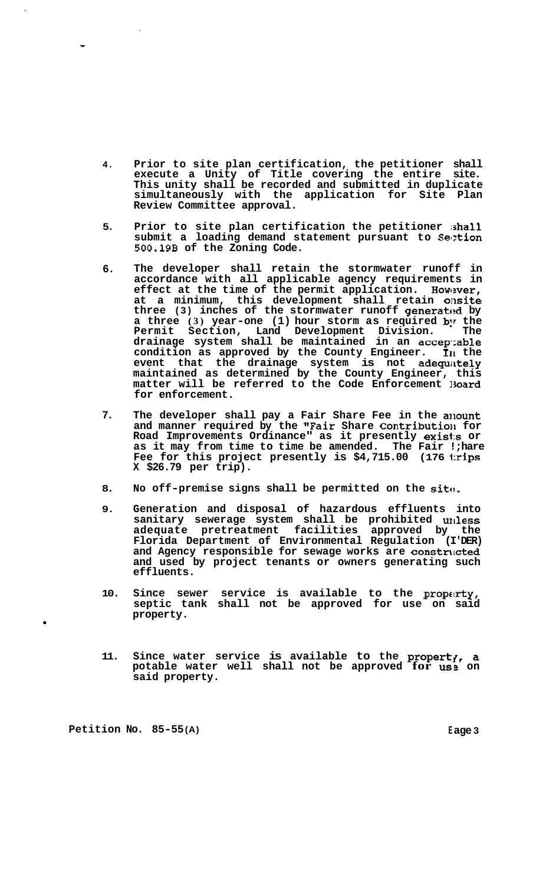- **4. Prior to site plan certification, the petitioner shall execute a Unity of Title covering the entire site. This unity shall be recorded and submitted in duplicate simultaneously with the application for Site Plan Review Committee approval.**
- **5. Prior to site plan certification the petitioner ishall**  submit a loading demand statement pursuant to Section **500.19B of the Zoning Code.**
- **6. The developer shall retain the stormwater runoff in accordance with all applicable agency requirements in**  effect at the time of the permit application. However, **at a minimum, this development shall retain oilsite**  three (3) inches of the stormwater runoff generated by **a** three (3) year-one (1) hour storm as required by the **Permit Section, Land Development Division. The drainage system shall be maintained in an accep':able condition as approved by the County Engineer. 111 the**  event that the drainage system is not adequately **maintained as determined by the County Engineer, this matter will be referred to the Code Enforcement 13oard for enforcement.**
- **7.**  The developer shall pay a Fair Share Fee in the anount and manner required by the "Fair Share Contribution for **Road Improvements Ordinance" as it presently exisis or as it may from time to time be amended. The Fair !;hare Fee for this project presently is \$4,715.00 (176 1:rips X \$26.79 per trip).**
- **8. No off-premise signs shall be permitted on the sitt!.**
- **9. Generation and disposal of hazardous effluents into sanitary sewerage system shall be prohibited urlless adequate pretreatment facilities approved by the Florida Department of Environmental Regulation (I'DER)**  and Agency responsible for sewage works are constructed **and used by project tenants or owners generating such effluents.**
- **10.**  Since sewer service is available to the property, **septic tank shall not be approved for use on said property.**
- 11. Since water service is available to the property, a **potable water well shall not be approved for us: on said property.**

**Petition No. 85-55(A) Eage 3** 

,